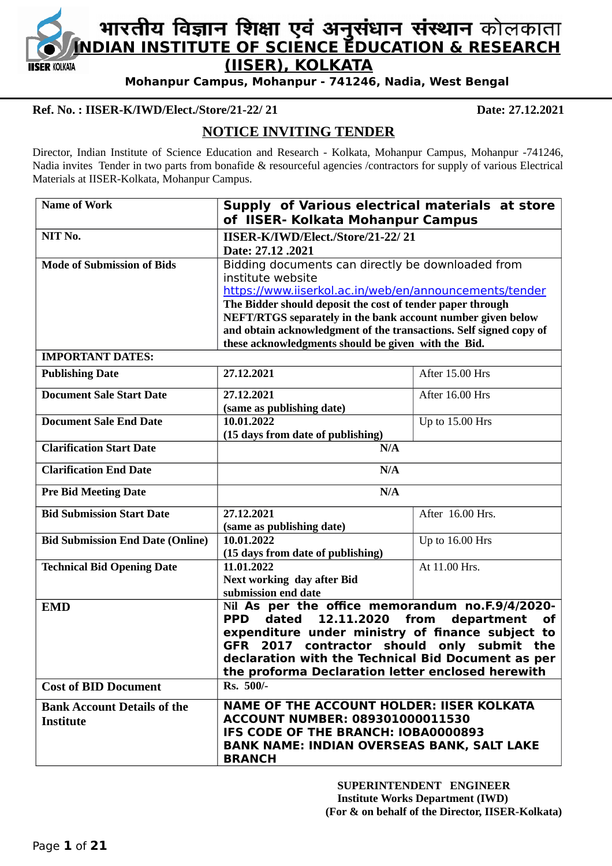

# **INTERN IN THE PRIM PRIM PROPERTY OF SCIENCE EDUCATION & RESEARCH**<br>INDIAN INSTITUTE OF SCIENCE EDUCATION & RESEARCH **(IISER), KOLKATA**

**Mohanpur Campus, Mohanpur - 741246, Nadia, West Bengal**

#### **Ref. No. : IISER-K/IWD/Elect./Store/21-22/ 21 Date: 27.12.2021**

# **NOTICE INVITING TENDER**

Director, Indian Institute of Science Education and Research - Kolkata, Mohanpur Campus, Mohanpur -741246, Nadia invites Tender in two parts from bonafide & resourceful agencies /contractors for supply of various Electrical Materials at IISER-Kolkata, Mohanpur Campus.

| <b>Name of Work</b>                                    | Supply of Various electrical materials at store<br>of IISER- Kolkata Mohanpur Campus                                                                                                                                                                                                                                                 |                  |  |  |  |
|--------------------------------------------------------|--------------------------------------------------------------------------------------------------------------------------------------------------------------------------------------------------------------------------------------------------------------------------------------------------------------------------------------|------------------|--|--|--|
| NIT No.                                                | IISER-K/IWD/Elect./Store/21-22/21                                                                                                                                                                                                                                                                                                    |                  |  |  |  |
|                                                        | Date: 27.12.2021                                                                                                                                                                                                                                                                                                                     |                  |  |  |  |
| <b>Mode of Submission of Bids</b>                      | Bidding documents can directly be downloaded from                                                                                                                                                                                                                                                                                    |                  |  |  |  |
|                                                        | institute website                                                                                                                                                                                                                                                                                                                    |                  |  |  |  |
|                                                        | https://www.iiserkol.ac.in/web/en/announcements/tender                                                                                                                                                                                                                                                                               |                  |  |  |  |
|                                                        | The Bidder should deposit the cost of tender paper through                                                                                                                                                                                                                                                                           |                  |  |  |  |
|                                                        | NEFT/RTGS separately in the bank account number given below                                                                                                                                                                                                                                                                          |                  |  |  |  |
|                                                        | and obtain acknowledgment of the transactions. Self signed copy of                                                                                                                                                                                                                                                                   |                  |  |  |  |
|                                                        | these acknowledgments should be given with the Bid.                                                                                                                                                                                                                                                                                  |                  |  |  |  |
| <b>IMPORTANT DATES:</b>                                |                                                                                                                                                                                                                                                                                                                                      |                  |  |  |  |
| <b>Publishing Date</b>                                 | 27.12.2021                                                                                                                                                                                                                                                                                                                           | After 15.00 Hrs  |  |  |  |
| <b>Document Sale Start Date</b>                        | 27.12.2021                                                                                                                                                                                                                                                                                                                           | After 16.00 Hrs  |  |  |  |
|                                                        | (same as publishing date)                                                                                                                                                                                                                                                                                                            |                  |  |  |  |
| <b>Document Sale End Date</b>                          | 10.01.2022                                                                                                                                                                                                                                                                                                                           | Up to 15.00 Hrs  |  |  |  |
|                                                        | (15 days from date of publishing)                                                                                                                                                                                                                                                                                                    |                  |  |  |  |
| <b>Clarification Start Date</b>                        | N/A                                                                                                                                                                                                                                                                                                                                  |                  |  |  |  |
| <b>Clarification End Date</b>                          | N/A                                                                                                                                                                                                                                                                                                                                  |                  |  |  |  |
| <b>Pre Bid Meeting Date</b>                            | N/A                                                                                                                                                                                                                                                                                                                                  |                  |  |  |  |
| <b>Bid Submission Start Date</b>                       | 27.12.2021                                                                                                                                                                                                                                                                                                                           | After 16.00 Hrs. |  |  |  |
|                                                        | (same as publishing date)                                                                                                                                                                                                                                                                                                            |                  |  |  |  |
| <b>Bid Submission End Date (Online)</b>                | 10.01.2022                                                                                                                                                                                                                                                                                                                           | Up to 16.00 Hrs  |  |  |  |
|                                                        | (15 days from date of publishing)                                                                                                                                                                                                                                                                                                    |                  |  |  |  |
| <b>Technical Bid Opening Date</b>                      | 11.01.2022                                                                                                                                                                                                                                                                                                                           | At 11.00 Hrs.    |  |  |  |
|                                                        | <b>Next working day after Bid</b>                                                                                                                                                                                                                                                                                                    |                  |  |  |  |
|                                                        | submission end date                                                                                                                                                                                                                                                                                                                  |                  |  |  |  |
| <b>EMD</b>                                             | Nil As per the office memorandum no.F.9/4/2020-<br><b>PPD</b><br>12.11.2020<br>department<br>dated<br>from<br><b>of</b><br>expenditure under ministry of finance subject to<br>GFR 2017 contractor should only submit the<br>declaration with the Technical Bid Document as per<br>the proforma Declaration letter enclosed herewith |                  |  |  |  |
| <b>Cost of BID Document</b>                            | Rs. 500/-                                                                                                                                                                                                                                                                                                                            |                  |  |  |  |
| <b>Bank Account Details of the</b><br><b>Institute</b> | <b>NAME OF THE ACCOUNT HOLDER: IISER KOLKATA</b><br><b>ACCOUNT NUMBER: 089301000011530</b><br>IFS CODE OF THE BRANCH: IOBA0000893<br><b>BANK NAME: INDIAN OVERSEAS BANK, SALT LAKE</b><br><b>BRANCH</b>                                                                                                                              |                  |  |  |  |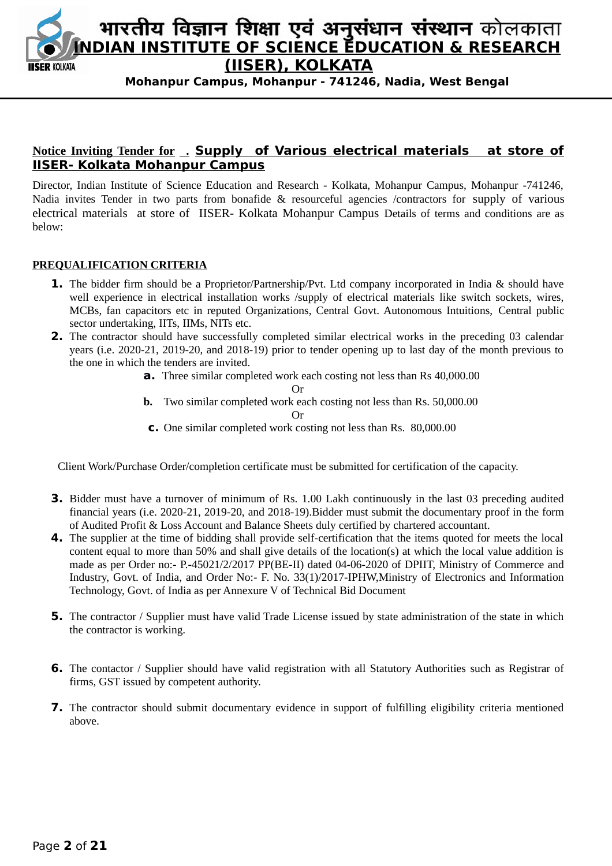

# **Notice Inviting Tender for . Supply of Various electrical materials at store of IISER- Kolkata Mohanpur Campus**

Director, Indian Institute of Science Education and Research - Kolkata, Mohanpur Campus, Mohanpur -741246, Nadia invites Tender in two parts from bonafide & resourceful agencies /contractors for supply of various electrical materials at store of IISER- Kolkata Mohanpur Campus Details of terms and conditions are as below:

#### **PREQUALIFICATION CRITERIA**

- **1.** The bidder firm should be a Proprietor/Partnership/Pvt. Ltd company incorporated in India & should have well experience in electrical installation works /supply of electrical materials like switch sockets, wires, MCBs, fan capacitors etc in reputed Organizations, Central Govt. Autonomous Intuitions, Central public sector undertaking, IITs, IIMs, NITs etc.
- **2.** The contractor should have successfully completed similar electrical works in the preceding 03 calendar years (i.e. 2020-21, 2019-20, and 2018-19) prior to tender opening up to last day of the month previous to the one in which the tenders are invited.
	- **a.** Three similar completed work each costing not less than Rs 40,000.00

Or

- **b.** Two similar completed work each costing not less than Rs. 50,000.00 Or
- **c.** One similar completed work costing not less than Rs. 80,000.00

Client Work/Purchase Order/completion certificate must be submitted for certification of the capacity.

- **3.** Bidder must have a turnover of minimum of Rs. 1.00 Lakh continuously in the last 03 preceding audited financial years (i.e. 2020-21, 2019-20, and 2018-19).Bidder must submit the documentary proof in the form of Audited Profit & Loss Account and Balance Sheets duly certified by chartered accountant.
- **4.** The supplier at the time of bidding shall provide self-certification that the items quoted for meets the local content equal to more than 50% and shall give details of the location(s) at which the local value addition is made as per Order no:- P.-45021/2/2017 PP(BE-II) dated 04-06-2020 of DPIIT, Ministry of Commerce and Industry, Govt. of India, and Order No:- F. No. 33(1)/2017-IPHW,Ministry of Electronics and Information Technology, Govt. of India as per Annexure V of Technical Bid Document
- **5.** The contractor / Supplier must have valid Trade License issued by state administration of the state in which the contractor is working.
- **6.** The contactor / Supplier should have valid registration with all Statutory Authorities such as Registrar of firms, GST issued by competent authority.
- **7.** The contractor should submit documentary evidence in support of fulfilling eligibility criteria mentioned above.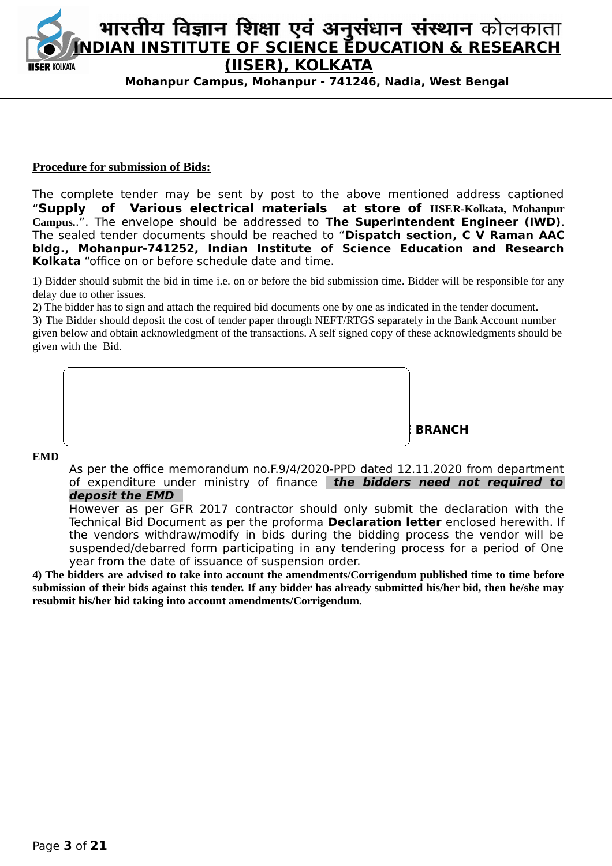

#### **Procedure for submission of Bids:**

The complete tender may be sent by post to the above mentioned address captioned "**Supply of Various electrical materials at store of IISER-Kolkata, Mohanpur Campus.**.". The envelope should be addressed to **The Superintendent Engineer (IWD)**. The sealed tender documents should be reached to "**Dispatch section, C V Raman AAC bldg., Mohanpur-741252, Indian Institute of Science Education and Research Kolkata** "office on or before schedule date and time.

1) Bidder should submit the bid in time i.e. on or before the bid submission time. Bidder will be responsible for any delay due to other issues.

2) The bidder has to sign and attach the required bid documents one by one as indicated in the tender document.

3) The Bidder should deposit the cost of tender paper through NEFT/RTGS separately in the Bank Account number given below and obtain acknowledgment of the transactions. A self signed copy of these acknowledgments should be given with the Bid.

 **NAME OF THE ACCOUNT HOLDER: IISER KOLKATA ACCOUNT NUMBER: 089301000011530 IFS CONFIDENTIAL CONFIDENTIAL CONFIDENTIAL CONFIDENTIAL CONFIDENTIAL CONFIDENTIAL CONFIDENTIAL CONFIDENTIAL BRANCH**: Indian overseas Bank, Salt Lake Branch, Salt Lake Branch, Salt Lake Branch, Salt Lake Branch, Salt La

**EMD**

As per the office memorandum no.F.9/4/2020-PPD dated 12.11.2020 from department of expenditure under ministry of finance **the bidders need not required to deposit the EMD** 

However as per GFR 2017 contractor should only submit the declaration with the Technical Bid Document as per the proforma **Declaration letter** enclosed herewith. If the vendors withdraw/modify in bids during the bidding process the vendor will be suspended/debarred form participating in any tendering process for a period of One year from the date of issuance of suspension order.

**4) The bidders are advised to take into account the amendments/Corrigendum published time to time before submission of their bids against this tender. If any bidder has already submitted his/her bid, then he/she may resubmit his/her bid taking into account amendments/Corrigendum.**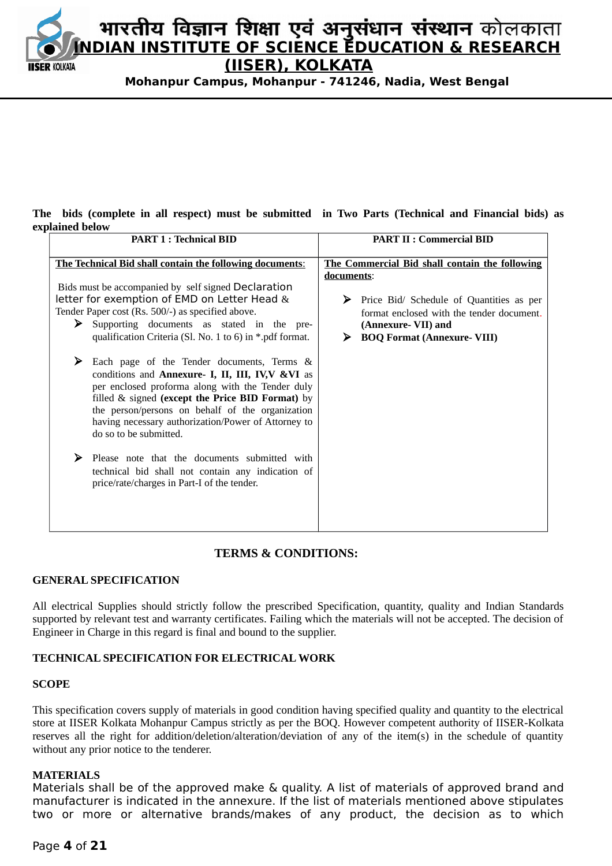

#### **The bids (complete in all respect) must be submitted in Two Parts (Technical and Financial bids) as explained below**

| <b>PART 1: Technical BID</b>                                                                                                                                                                                                                                                                                                               | <b>PART II : Commercial BID</b>                                                                                                                                            |  |  |
|--------------------------------------------------------------------------------------------------------------------------------------------------------------------------------------------------------------------------------------------------------------------------------------------------------------------------------------------|----------------------------------------------------------------------------------------------------------------------------------------------------------------------------|--|--|
| <b>The Technical Bid shall contain the following documents:</b>                                                                                                                                                                                                                                                                            | The Commercial Bid shall contain the following                                                                                                                             |  |  |
| Bids must be accompanied by self signed Declaration<br>letter for exemption of EMD on Letter Head &<br>Tender Paper cost (Rs. 500/-) as specified above.<br>Supporting documents as stated in the pre-<br>➤<br>qualification Criteria (Sl. No. 1 to 6) in *.pdf format.                                                                    | documents:<br>Price Bid/ Schedule of Quantities as per<br>➤<br>format enclosed with the tender document.<br>(Annexure- VII) and<br><b>BOQ Format (Annexure- VIII)</b><br>⋗ |  |  |
| Each page of the Tender documents, Terms &<br>conditions and Annexure- I, II, III, IV, WWI as<br>per enclosed proforma along with the Tender duly<br>filled & signed (except the Price BID Format) by<br>the person/persons on behalf of the organization<br>having necessary authorization/Power of Attorney to<br>do so to be submitted. |                                                                                                                                                                            |  |  |
| Please note that the documents submitted with<br>technical bid shall not contain any indication of<br>price/rate/charges in Part-I of the tender.                                                                                                                                                                                          |                                                                                                                                                                            |  |  |

#### **TERMS & CONDITIONS:**

#### **GENERAL SPECIFICATION**

All electrical Supplies should strictly follow the prescribed Specification, quantity, quality and Indian Standards supported by relevant test and warranty certificates. Failing which the materials will not be accepted. The decision of Engineer in Charge in this regard is final and bound to the supplier.

#### **TECHNICAL SPECIFICATION FOR ELECTRICAL WORK**

#### **SCOPE**

This specification covers supply of materials in good condition having specified quality and quantity to the electrical store at IISER Kolkata Mohanpur Campus strictly as per the BOQ. However competent authority of IISER-Kolkata reserves all the right for addition/deletion/alteration/deviation of any of the item(s) in the schedule of quantity without any prior notice to the tenderer.

#### **MATERIALS**

Materials shall be of the approved make & quality. A list of materials of approved brand and manufacturer is indicated in the annexure. If the list of materials mentioned above stipulates two or more or alternative brands/makes of any product, the decision as to which

#### Page **4** of **21**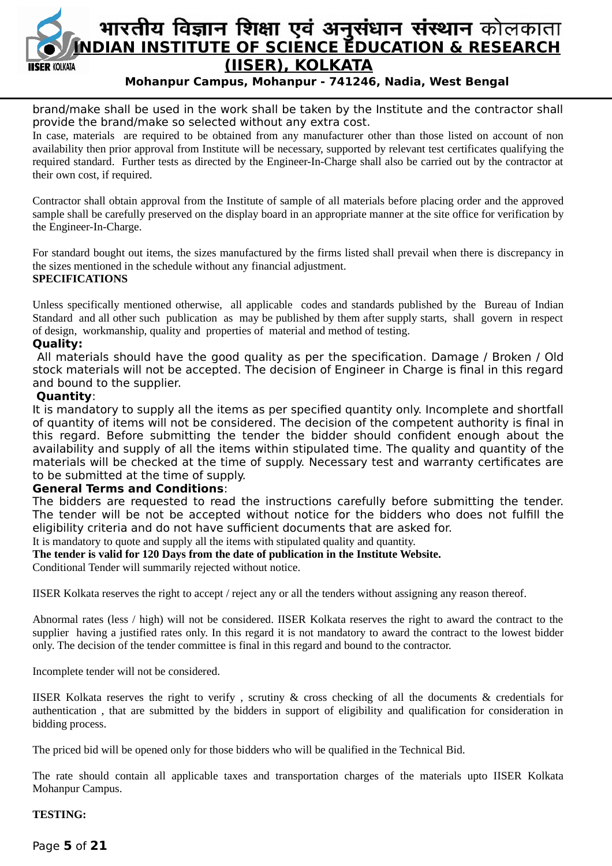

brand/make shall be used in the work shall be taken by the Institute and the contractor shall provide the brand/make so selected without any extra cost.

In case, materials are required to be obtained from any manufacturer other than those listed on account of non availability then prior approval from Institute will be necessary, supported by relevant test certificates qualifying the required standard. Further tests as directed by the Engineer-In-Charge shall also be carried out by the contractor at their own cost, if required.

Contractor shall obtain approval from the Institute of sample of all materials before placing order and the approved sample shall be carefully preserved on the display board in an appropriate manner at the site office for verification by the Engineer-In-Charge.

For standard bought out items, the sizes manufactured by the firms listed shall prevail when there is discrepancy in the sizes mentioned in the schedule without any financial adjustment. **SPECIFICATIONS**

# Unless specifically mentioned otherwise, all applicable codes and standards published by the Bureau of Indian Standard and all other such publication as may be published by them after supply starts, shall govern in respect of design, workmanship, quality and properties of material and method of testing.

#### **Quality:**

 All materials should have the good quality as per the specification. Damage / Broken / Old stock materials will not be accepted. The decision of Engineer in Charge is final in this regard and bound to the supplier.

#### **Quantity**:

It is mandatory to supply all the items as per specified quantity only. Incomplete and shortfall of quantity of items will not be considered. The decision of the competent authority is final in this regard. Before submitting the tender the bidder should confident enough about the availability and supply of all the items within stipulated time. The quality and quantity of the materials will be checked at the time of supply. Necessary test and warranty certificates are to be submitted at the time of supply.

#### **General Terms and Conditions**:

The bidders are requested to read the instructions carefully before submitting the tender. The tender will be not be accepted without notice for the bidders who does not fulfill the eligibility criteria and do not have sufficient documents that are asked for.

### It is mandatory to quote and supply all the items with stipulated quality and quantity.

**The tender is valid for 120 Days from the date of publication in the Institute Website.**

Conditional Tender will summarily rejected without notice.

IISER Kolkata reserves the right to accept / reject any or all the tenders without assigning any reason thereof.

Abnormal rates (less / high) will not be considered. IISER Kolkata reserves the right to award the contract to the supplier having a justified rates only. In this regard it is not mandatory to award the contract to the lowest bidder only. The decision of the tender committee is final in this regard and bound to the contractor.

Incomplete tender will not be considered.

IISER Kolkata reserves the right to verify , scrutiny & cross checking of all the documents & credentials for authentication , that are submitted by the bidders in support of eligibility and qualification for consideration in bidding process.

The priced bid will be opened only for those bidders who will be qualified in the Technical Bid.

The rate should contain all applicable taxes and transportation charges of the materials upto IISER Kolkata Mohanpur Campus.

#### **TESTING:**

Page **5** of **21**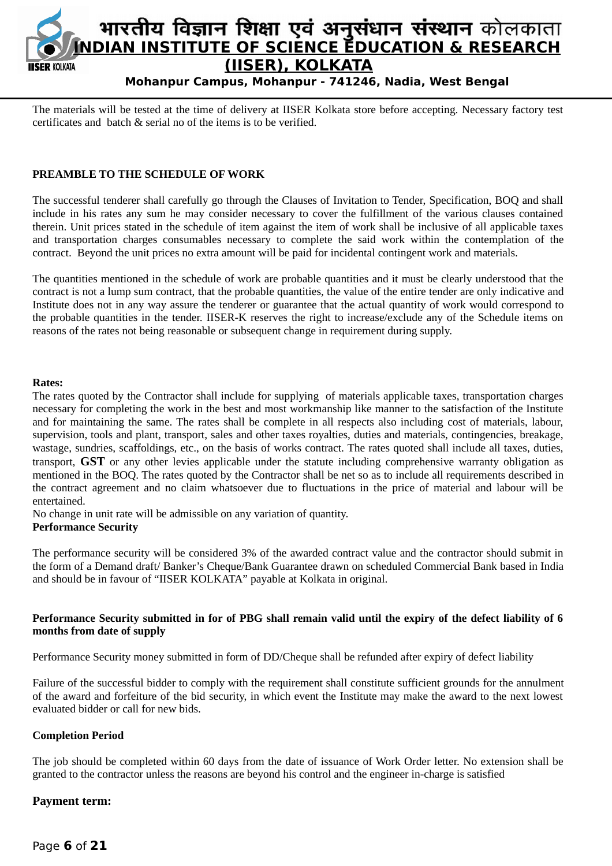

The materials will be tested at the time of delivery at IISER Kolkata store before accepting. Necessary factory test certificates and batch & serial no of the items is to be verified.

#### **PREAMBLE TO THE SCHEDULE OF WORK**

The successful tenderer shall carefully go through the Clauses of Invitation to Tender, Specification, BOQ and shall include in his rates any sum he may consider necessary to cover the fulfillment of the various clauses contained therein. Unit prices stated in the schedule of item against the item of work shall be inclusive of all applicable taxes and transportation charges consumables necessary to complete the said work within the contemplation of the contract. Beyond the unit prices no extra amount will be paid for incidental contingent work and materials.

The quantities mentioned in the schedule of work are probable quantities and it must be clearly understood that the contract is not a lump sum contract, that the probable quantities, the value of the entire tender are only indicative and Institute does not in any way assure the tenderer or guarantee that the actual quantity of work would correspond to the probable quantities in the tender. IISER-K reserves the right to increase/exclude any of the Schedule items on reasons of the rates not being reasonable or subsequent change in requirement during supply.

#### **Rates:**

The rates quoted by the Contractor shall include for supplying of materials applicable taxes, transportation charges necessary for completing the work in the best and most workmanship like manner to the satisfaction of the Institute and for maintaining the same. The rates shall be complete in all respects also including cost of materials, labour, supervision, tools and plant, transport, sales and other taxes royalties, duties and materials, contingencies, breakage, wastage, sundries, scaffoldings, etc., on the basis of works contract. The rates quoted shall include all taxes, duties, transport, **GST** or any other levies applicable under the statute including comprehensive warranty obligation as mentioned in the BOQ. The rates quoted by the Contractor shall be net so as to include all requirements described in the contract agreement and no claim whatsoever due to fluctuations in the price of material and labour will be entertained.

No change in unit rate will be admissible on any variation of quantity. **Performance Security**

The performance security will be considered 3% of the awarded contract value and the contractor should submit in the form of a Demand draft/ Banker's Cheque/Bank Guarantee drawn on scheduled Commercial Bank based in India and should be in favour of "IISER KOLKATA" payable at Kolkata in original.

#### **Performance Security submitted in for of PBG shall remain valid until the expiry of the defect liability of 6 months from date of supply**

Performance Security money submitted in form of DD/Cheque shall be refunded after expiry of defect liability

Failure of the successful bidder to comply with the requirement shall constitute sufficient grounds for the annulment of the award and forfeiture of the bid security, in which event the Institute may make the award to the next lowest evaluated bidder or call for new bids*.*

#### **Completion Period**

The job should be completed within 60 days from the date of issuance of Work Order letter. No extension shall be granted to the contractor unless the reasons are beyond his control and the engineer in-charge is satisfied

#### **Payment term:**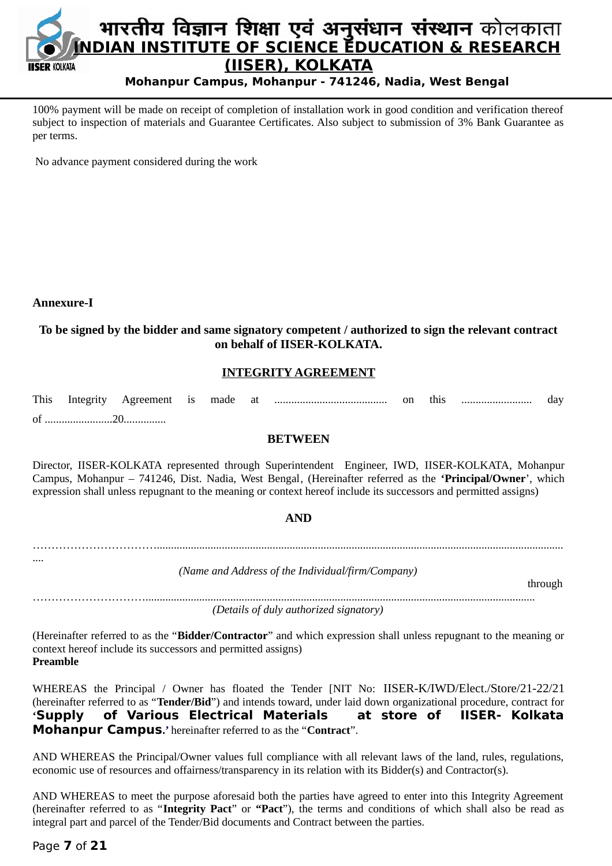

100% payment will be made on receipt of completion of installation work in good condition and verification thereof subject to inspection of materials and Guarantee Certificates. Also subject to submission of 3% Bank Guarantee as per terms.

No advance payment considered during the work

#### **Annexure-I**

....

### **To be signed by the bidder and same signatory competent / authorized to sign the relevant contract on behalf of IISER-KOLKATA.**

#### **INTEGRITY AGREEMENT**

#### **BETWEEN**

Director, IISER-KOLKATA represented through Superintendent Engineer, IWD, IISER-KOLKATA, Mohanpur Campus, Mohanpur – 741246, Dist. Nadia, West Bengal, (Hereinafter referred as the **'Principal/Owner**', which expression shall unless repugnant to the meaning or context hereof include its successors and permitted assigns)

#### **AND**

……………………………................................................................................................................................................

*(Name and Address of the Individual/firm/Company)*

through

………………………….......................................................................................................................................... *(Details of duly authorized signatory)*

(Hereinafter referred to as the "**Bidder/Contractor**" and which expression shall unless repugnant to the meaning or context hereof include its successors and permitted assigns) **Preamble**

WHEREAS the Principal / Owner has floated the Tender [NIT No: IISER-K/IWD/Elect./Store/21-22/21 (hereinafter referred to as "**Tender/Bid**") and intends toward, under laid down organizational procedure, contract for **'Supply of Various Electrical Materials at store of IISER- Kolkata Mohanpur Campus.'** hereinafter referred to as the "**Contract**".

AND WHEREAS the Principal/Owner values full compliance with all relevant laws of the land, rules, regulations, economic use of resources and offairness/transparency in its relation with its Bidder(s) and Contractor(s).

AND WHEREAS to meet the purpose aforesaid both the parties have agreed to enter into this Integrity Agreement (hereinafter referred to as "**Integrity Pact**" or **"Pact**"), the terms and conditions of which shall also be read as integral part and parcel of the Tender/Bid documents and Contract between the parties.

#### Page **7** of **21**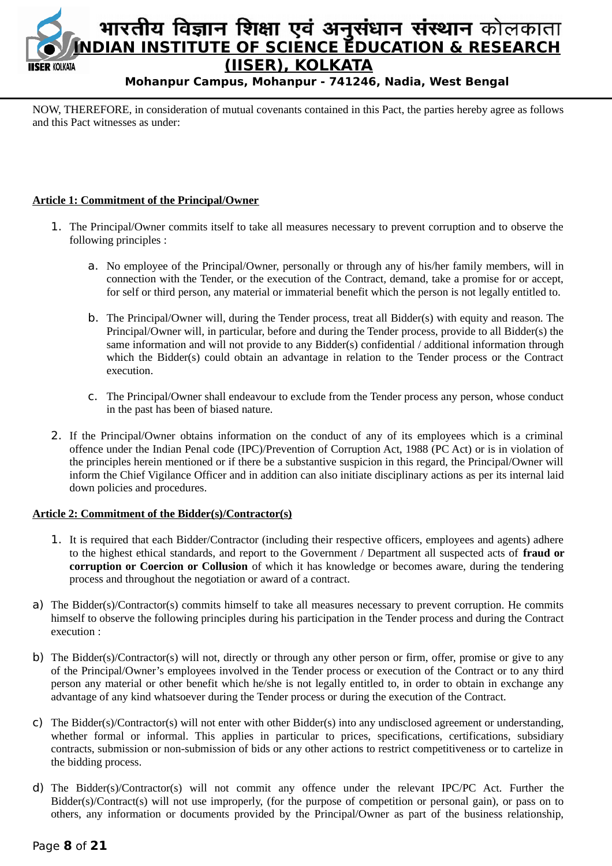

NOW, THEREFORE, in consideration of mutual covenants contained in this Pact, the parties hereby agree as follows and this Pact witnesses as under:

#### **Article 1: Commitment of the Principal/Owner**

- 1. The Principal/Owner commits itself to take all measures necessary to prevent corruption and to observe the following principles :
	- a. No employee of the Principal/Owner, personally or through any of his/her family members, will in connection with the Tender, or the execution of the Contract, demand, take a promise for or accept, for self or third person, any material or immaterial benefit which the person is not legally entitled to.
	- b. The Principal/Owner will, during the Tender process, treat all Bidder(s) with equity and reason. The Principal/Owner will, in particular, before and during the Tender process, provide to all Bidder(s) the same information and will not provide to any Bidder(s) confidential / additional information through which the Bidder(s) could obtain an advantage in relation to the Tender process or the Contract execution.
	- c. The Principal/Owner shall endeavour to exclude from the Tender process any person, whose conduct in the past has been of biased nature.
- 2. If the Principal/Owner obtains information on the conduct of any of its employees which is a criminal offence under the Indian Penal code (IPC)/Prevention of Corruption Act, 1988 (PC Act) or is in violation of the principles herein mentioned or if there be a substantive suspicion in this regard, the Principal/Owner will inform the Chief Vigilance Officer and in addition can also initiate disciplinary actions as per its internal laid down policies and procedures.

#### **Article 2: Commitment of the Bidder(s)/Contractor(s)**

- 1. It is required that each Bidder/Contractor (including their respective officers, employees and agents) adhere to the highest ethical standards, and report to the Government / Department all suspected acts of **fraud or corruption or Coercion or Collusion** of which it has knowledge or becomes aware, during the tendering process and throughout the negotiation or award of a contract.
- a) The Bidder(s)/Contractor(s) commits himself to take all measures necessary to prevent corruption. He commits himself to observe the following principles during his participation in the Tender process and during the Contract execution :
- b) The Bidder(s)/Contractor(s) will not, directly or through any other person or firm, offer, promise or give to any of the Principal/Owner's employees involved in the Tender process or execution of the Contract or to any third person any material or other benefit which he/she is not legally entitled to, in order to obtain in exchange any advantage of any kind whatsoever during the Tender process or during the execution of the Contract.
- c) The Bidder(s)/Contractor(s) will not enter with other Bidder(s) into any undisclosed agreement or understanding, whether formal or informal. This applies in particular to prices, specifications, certifications, subsidiary contracts, submission or non-submission of bids or any other actions to restrict competitiveness or to cartelize in the bidding process.
- d) The Bidder(s)/Contractor(s) will not commit any offence under the relevant IPC/PC Act. Further the Bidder(s)/Contract(s) will not use improperly, (for the purpose of competition or personal gain), or pass on to others, any information or documents provided by the Principal/Owner as part of the business relationship,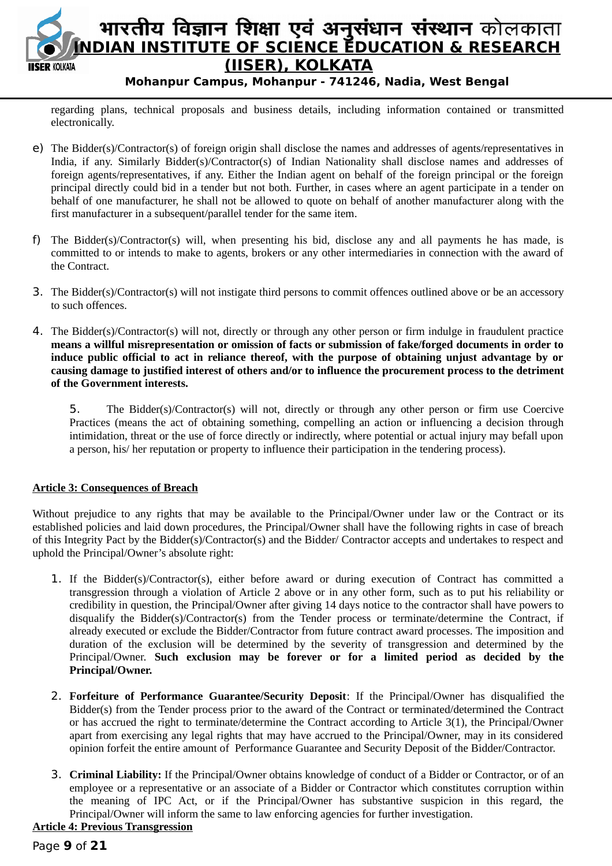

regarding plans, technical proposals and business details, including information contained or transmitted electronically.

- e) The Bidder(s)/Contractor(s) of foreign origin shall disclose the names and addresses of agents/representatives in India, if any. Similarly Bidder(s)/Contractor(s) of Indian Nationality shall disclose names and addresses of foreign agents/representatives, if any. Either the Indian agent on behalf of the foreign principal or the foreign principal directly could bid in a tender but not both. Further, in cases where an agent participate in a tender on behalf of one manufacturer, he shall not be allowed to quote on behalf of another manufacturer along with the first manufacturer in a subsequent/parallel tender for the same item.
- f) The Bidder(s)/Contractor(s) will, when presenting his bid, disclose any and all payments he has made, is committed to or intends to make to agents, brokers or any other intermediaries in connection with the award of the Contract.
- 3. The Bidder(s)/Contractor(s) will not instigate third persons to commit offences outlined above or be an accessory to such offences.
- 4. The Bidder(s)/Contractor(s) will not, directly or through any other person or firm indulge in fraudulent practice **means a willful misrepresentation or omission of facts or submission of fake/forged documents in order to induce public official to act in reliance thereof, with the purpose of obtaining unjust advantage by or causing damage to justified interest of others and/or to influence the procurement process to the detriment of the Government interests.**

5. The Bidder(s)/Contractor(s) will not, directly or through any other person or firm use Coercive Practices (means the act of obtaining something, compelling an action or influencing a decision through intimidation, threat or the use of force directly or indirectly, where potential or actual injury may befall upon a person, his/ her reputation or property to influence their participation in the tendering process).

#### **Article 3: Consequences of Breach**

Without prejudice to any rights that may be available to the Principal/Owner under law or the Contract or its established policies and laid down procedures, the Principal/Owner shall have the following rights in case of breach of this Integrity Pact by the Bidder(s)/Contractor(s) and the Bidder/ Contractor accepts and undertakes to respect and uphold the Principal/Owner's absolute right:

- 1. If the Bidder(s)/Contractor(s), either before award or during execution of Contract has committed a transgression through a violation of Article 2 above or in any other form, such as to put his reliability or credibility in question, the Principal/Owner after giving 14 days notice to the contractor shall have powers to disqualify the Bidder(s)/Contractor(s) from the Tender process or terminate/determine the Contract, if already executed or exclude the Bidder/Contractor from future contract award processes. The imposition and duration of the exclusion will be determined by the severity of transgression and determined by the Principal/Owner. **Such exclusion may be forever or for a limited period as decided by the Principal/Owner.**
- 2. **Forfeiture of Performance Guarantee/Security Deposit**: If the Principal/Owner has disqualified the Bidder(s) from the Tender process prior to the award of the Contract or terminated/determined the Contract or has accrued the right to terminate/determine the Contract according to Article 3(1), the Principal/Owner apart from exercising any legal rights that may have accrued to the Principal/Owner, may in its considered opinion forfeit the entire amount of Performance Guarantee and Security Deposit of the Bidder/Contractor.
- 3. **Criminal Liability:** If the Principal/Owner obtains knowledge of conduct of a Bidder or Contractor, or of an employee or a representative or an associate of a Bidder or Contractor which constitutes corruption within the meaning of IPC Act, or if the Principal/Owner has substantive suspicion in this regard, the Principal/Owner will inform the same to law enforcing agencies for further investigation.

# **Article 4: Previous Transgression**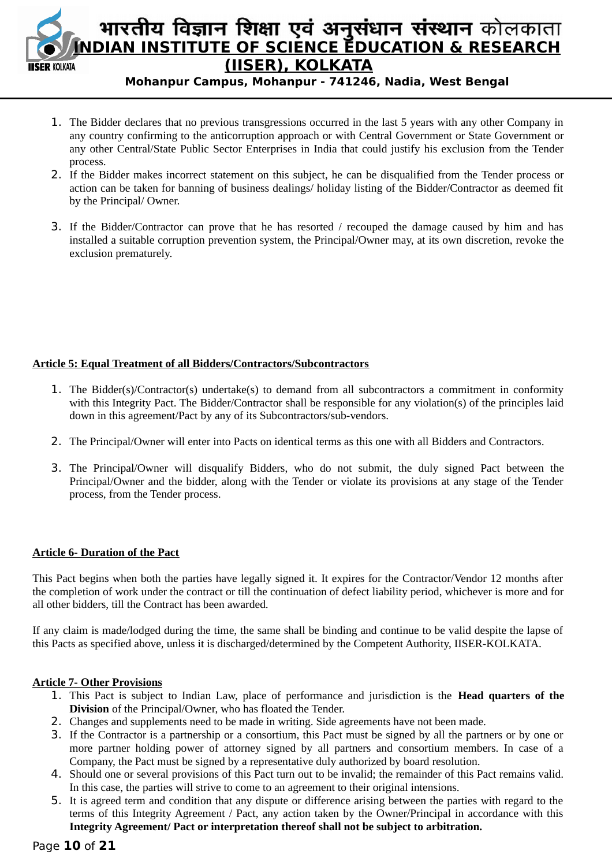

# भारतीय विज्ञान शिक्षा एवं अनुसंधान संस्थान कोलकाता **INDIAN INSTITUTE OF SCIENCE EDUCATION & RESEARCH (IISER), KOLKATA**

**Mohanpur Campus, Mohanpur - 741246, Nadia, West Bengal**

- 1. The Bidder declares that no previous transgressions occurred in the last 5 years with any other Company in any country confirming to the anticorruption approach or with Central Government or State Government or any other Central/State Public Sector Enterprises in India that could justify his exclusion from the Tender process.
- 2. If the Bidder makes incorrect statement on this subject, he can be disqualified from the Tender process or action can be taken for banning of business dealings/ holiday listing of the Bidder/Contractor as deemed fit by the Principal/ Owner.
- 3. If the Bidder/Contractor can prove that he has resorted / recouped the damage caused by him and has installed a suitable corruption prevention system, the Principal/Owner may, at its own discretion, revoke the exclusion prematurely.

#### **Article 5: Equal Treatment of all Bidders/Contractors/Subcontractors**

- 1. The Bidder(s)/Contractor(s) undertake(s) to demand from all subcontractors a commitment in conformity with this Integrity Pact. The Bidder/Contractor shall be responsible for any violation(s) of the principles laid down in this agreement/Pact by any of its Subcontractors/sub-vendors.
- 2. The Principal/Owner will enter into Pacts on identical terms as this one with all Bidders and Contractors.
- 3. The Principal/Owner will disqualify Bidders, who do not submit, the duly signed Pact between the Principal/Owner and the bidder, along with the Tender or violate its provisions at any stage of the Tender process, from the Tender process.

#### **Article 6- Duration of the Pact**

This Pact begins when both the parties have legally signed it. It expires for the Contractor/Vendor 12 months after the completion of work under the contract or till the continuation of defect liability period, whichever is more and for all other bidders, till the Contract has been awarded.

If any claim is made/lodged during the time, the same shall be binding and continue to be valid despite the lapse of this Pacts as specified above, unless it is discharged/determined by the Competent Authority, IISER-KOLKATA.

#### **Article 7- Other Provisions**

- 1. This Pact is subject to Indian Law, place of performance and jurisdiction is the **Head quarters of the Division** of the Principal/Owner, who has floated the Tender.
- 2. Changes and supplements need to be made in writing. Side agreements have not been made.
- 3. If the Contractor is a partnership or a consortium, this Pact must be signed by all the partners or by one or more partner holding power of attorney signed by all partners and consortium members. In case of a Company, the Pact must be signed by a representative duly authorized by board resolution.
- 4. Should one or several provisions of this Pact turn out to be invalid; the remainder of this Pact remains valid. In this case, the parties will strive to come to an agreement to their original intensions.
- 5. It is agreed term and condition that any dispute or difference arising between the parties with regard to the terms of this Integrity Agreement / Pact, any action taken by the Owner/Principal in accordance with this **Integrity Agreement/ Pact or interpretation thereof shall not be subject to arbitration.**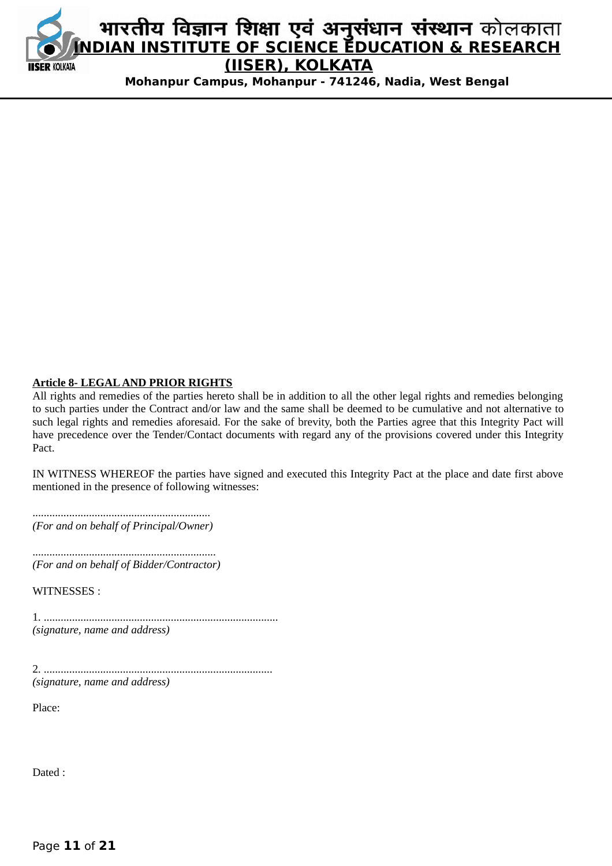

#### **Article 8- LEGAL AND PRIOR RIGHTS**

All rights and remedies of the parties hereto shall be in addition to all the other legal rights and remedies belonging to such parties under the Contract and/or law and the same shall be deemed to be cumulative and not alternative to such legal rights and remedies aforesaid. For the sake of brevity, both the Parties agree that this Integrity Pact will have precedence over the Tender/Contact documents with regard any of the provisions covered under this Integrity Pact.

IN WITNESS WHEREOF the parties have signed and executed this Integrity Pact at the place and date first above mentioned in the presence of following witnesses:

............................................................... *(For and on behalf of Principal/Owner)*

................................................................. *(For and on behalf of Bidder/Contractor)*

WITNESSES :

1. ................................................................................... *(signature, name and address)*

2. ................................................................................. *(signature, name and address)*

Place:

Dated :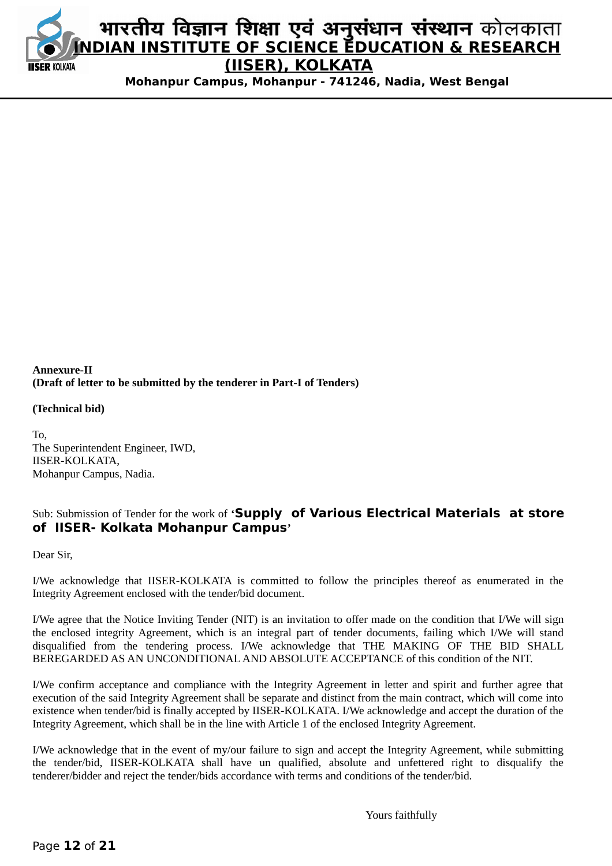

#### **Annexure-II (Draft of letter to be submitted by the tenderer in Part-I of Tenders)**

#### **(Technical bid)**

To, The Superintendent Engineer, IWD, IISER-KOLKATA, Mohanpur Campus, Nadia.

# Sub: Submission of Tender for the work of **'Supply of Various Electrical Materials at store of IISER- Kolkata Mohanpur Campus'**

Dear Sir,

I/We acknowledge that IISER-KOLKATA is committed to follow the principles thereof as enumerated in the Integrity Agreement enclosed with the tender/bid document.

I/We agree that the Notice Inviting Tender (NIT) is an invitation to offer made on the condition that I/We will sign the enclosed integrity Agreement, which is an integral part of tender documents, failing which I/We will stand disqualified from the tendering process. I/We acknowledge that THE MAKING OF THE BID SHALL BEREGARDED AS AN UNCONDITIONAL AND ABSOLUTE ACCEPTANCE of this condition of the NIT.

I/We confirm acceptance and compliance with the Integrity Agreement in letter and spirit and further agree that execution of the said Integrity Agreement shall be separate and distinct from the main contract, which will come into existence when tender/bid is finally accepted by IISER-KOLKATA. I/We acknowledge and accept the duration of the Integrity Agreement, which shall be in the line with Article 1 of the enclosed Integrity Agreement.

I/We acknowledge that in the event of my/our failure to sign and accept the Integrity Agreement, while submitting the tender/bid, IISER-KOLKATA shall have un qualified, absolute and unfettered right to disqualify the tenderer/bidder and reject the tender/bids accordance with terms and conditions of the tender/bid.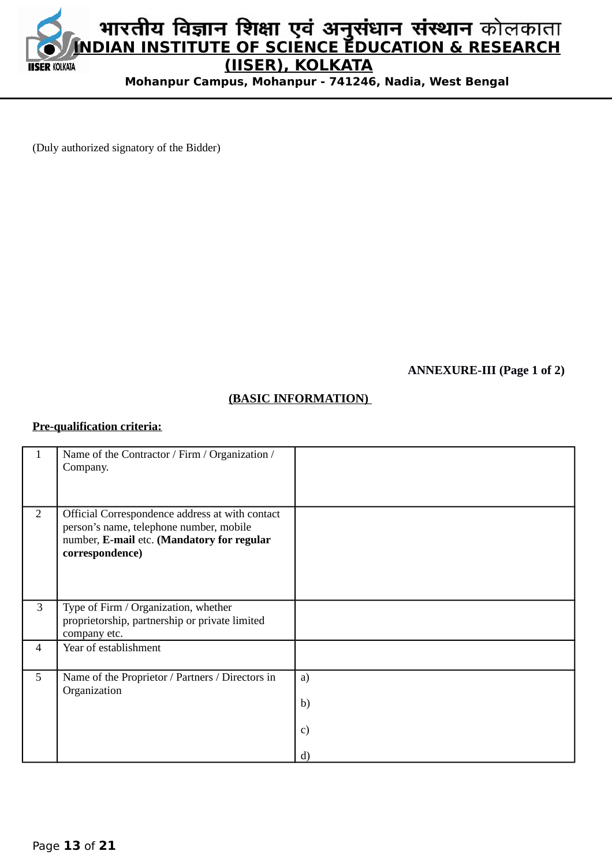

(Duly authorized signatory of the Bidder)

**ANNEXURE-III (Page 1 of 2)**

# **(BASIC INFORMATION)**

#### **Pre-qualification criteria:**

|                | Name of the Contractor / Firm / Organization /<br>Company.                                                                                                  |                                |
|----------------|-------------------------------------------------------------------------------------------------------------------------------------------------------------|--------------------------------|
| $\overline{2}$ | Official Correspondence address at with contact<br>person's name, telephone number, mobile<br>number, E-mail etc. (Mandatory for regular<br>correspondence) |                                |
| 3              | Type of Firm / Organization, whether<br>proprietorship, partnership or private limited<br>company etc.                                                      |                                |
| $\overline{4}$ | Year of establishment                                                                                                                                       |                                |
| 5              | Name of the Proprietor / Partners / Directors in<br>Organization                                                                                            | a)<br>b)<br>c)<br>$\mathbf{d}$ |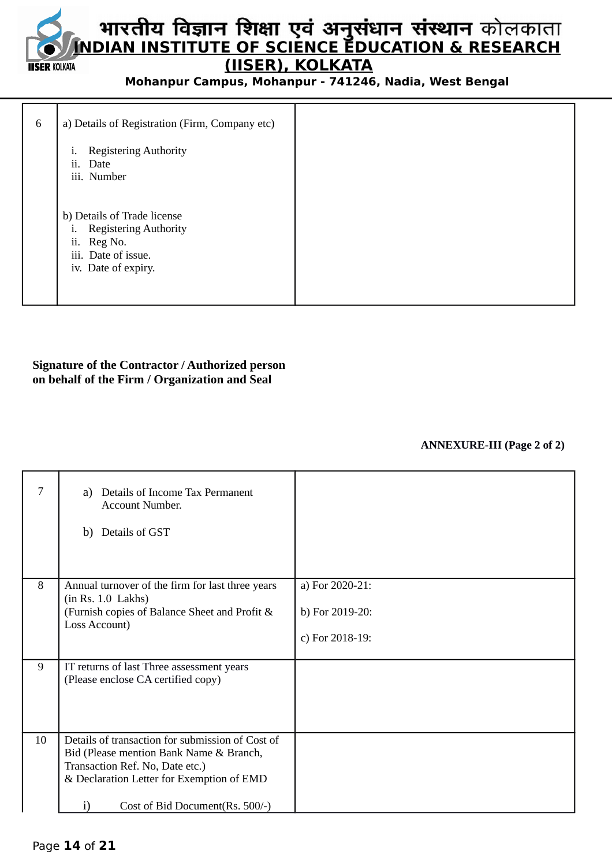# **INDIAN INSTITUTE OF SCIENCE EDUCATION & RESEARCH (IISER), KOLKATA IISER KOLKATA**

**Mohanpur Campus, Mohanpur - 741246, Nadia, West Bengal**

| 6 | a) Details of Registration (Firm, Company etc)                                                                                    |
|---|-----------------------------------------------------------------------------------------------------------------------------------|
|   | <b>Registering Authority</b><br>i.<br>ii.<br>Date<br>iii. Number                                                                  |
|   | b) Details of Trade license<br><b>Registering Authority</b><br>1.<br>ii.<br>Reg No.<br>iii. Date of issue.<br>iv. Date of expiry. |

#### **Signature of the Contractor / Authorized person on behalf of the Firm / Organization and Seal**

#### **ANNEXURE-III (Page 2 of 2)**

| 7  | Details of Income Tax Permanent<br>a)<br><b>Account Number.</b><br>b) Details of GST                                                                                                                                  |                                                       |
|----|-----------------------------------------------------------------------------------------------------------------------------------------------------------------------------------------------------------------------|-------------------------------------------------------|
| 8  | Annual turnover of the firm for last three years<br>(in Rs. 1.0 Lakhs)<br>(Furnish copies of Balance Sheet and Profit &<br>Loss Account)                                                                              | a) For 2020-21:<br>b) For 2019-20:<br>c) For 2018-19: |
| 9  | IT returns of last Three assessment years<br>(Please enclose CA certified copy)                                                                                                                                       |                                                       |
| 10 | Details of transaction for submission of Cost of<br>Bid (Please mention Bank Name & Branch,<br>Transaction Ref. No, Date etc.)<br>& Declaration Letter for Exemption of EMD<br>Cost of Bid Document (Rs. 500/-)<br>i) |                                                       |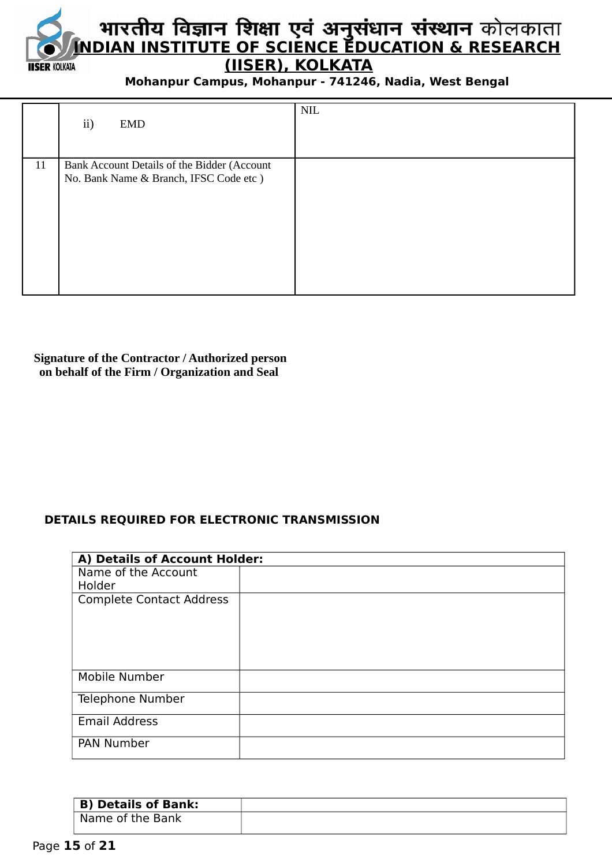

|    | ii)<br><b>EMD</b>                           | $\text{NIL}$ |
|----|---------------------------------------------|--------------|
| 11 | Bank Account Details of the Bidder (Account |              |
|    | No. Bank Name & Branch, IFSC Code etc)      |              |
|    |                                             |              |
|    |                                             |              |
|    |                                             |              |
|    |                                             |              |
|    |                                             |              |

# **Signature of the Contractor / Authorized person on behalf of the Firm / Organization and Seal**

# **DETAILS REQUIRED FOR ELECTRONIC TRANSMISSION**

|                                 | A) Details of Account Holder: |  |  |  |  |
|---------------------------------|-------------------------------|--|--|--|--|
| Name of the Account             |                               |  |  |  |  |
| Holder                          |                               |  |  |  |  |
| <b>Complete Contact Address</b> |                               |  |  |  |  |
|                                 |                               |  |  |  |  |
| Mobile Number                   |                               |  |  |  |  |
| Telephone Number                |                               |  |  |  |  |
| <b>Email Address</b>            |                               |  |  |  |  |
| <b>PAN Number</b>               |                               |  |  |  |  |

| <b>B) Details of Bank:</b> |  |
|----------------------------|--|
| Name of the Bank           |  |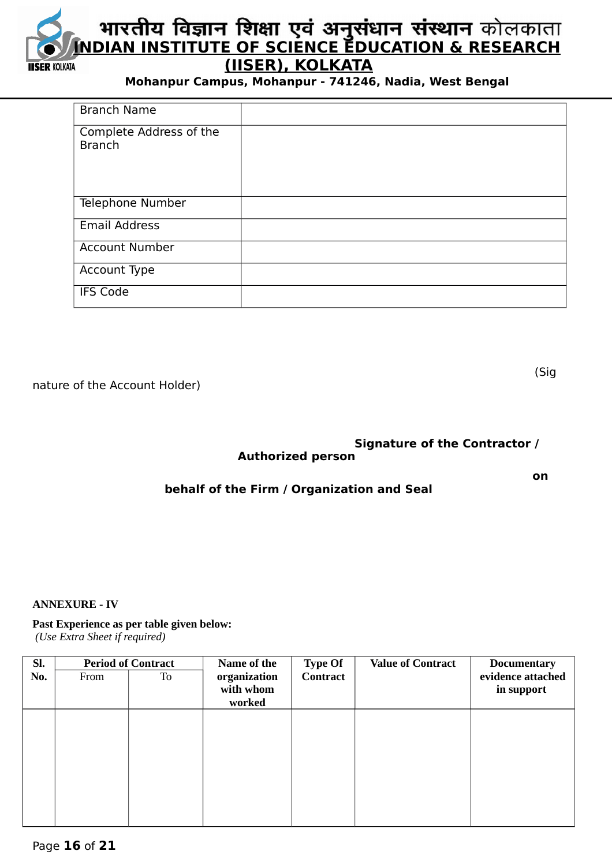

| <b>Branch Name</b>                       |  |
|------------------------------------------|--|
| Complete Address of the<br><b>Branch</b> |  |
| Telephone Number                         |  |
| <b>Email Address</b>                     |  |
| <b>Account Number</b>                    |  |
| Account Type                             |  |
| <b>IFS Code</b>                          |  |

nature of the Account Holder)

(Sig

# **Signature of the Contractor / Authorized person**

#### **on** one of the contract of the contract of the contract of the contract of the contract of the contract of the contract of the contract of the contract of the contract of the contract of the contract of the contract of th **behalf of the Firm / Organization and Seal**

#### **ANNEXURE - IV**

#### **Past Experience as per table given below:**

 *(Use Extra Sheet if required)*

| SI. | <b>Period of Contract</b> |    | Name of the  | <b>Type Of</b>  | <b>Value of Contract</b> | <b>Documentary</b> |
|-----|---------------------------|----|--------------|-----------------|--------------------------|--------------------|
| No. | From                      | To | organization | <b>Contract</b> |                          | evidence attached  |
|     |                           |    | with whom    |                 |                          | in support         |
|     |                           |    | worked       |                 |                          |                    |
|     |                           |    |              |                 |                          |                    |
|     |                           |    |              |                 |                          |                    |
|     |                           |    |              |                 |                          |                    |
|     |                           |    |              |                 |                          |                    |
|     |                           |    |              |                 |                          |                    |
|     |                           |    |              |                 |                          |                    |
|     |                           |    |              |                 |                          |                    |
|     |                           |    |              |                 |                          |                    |
|     |                           |    |              |                 |                          |                    |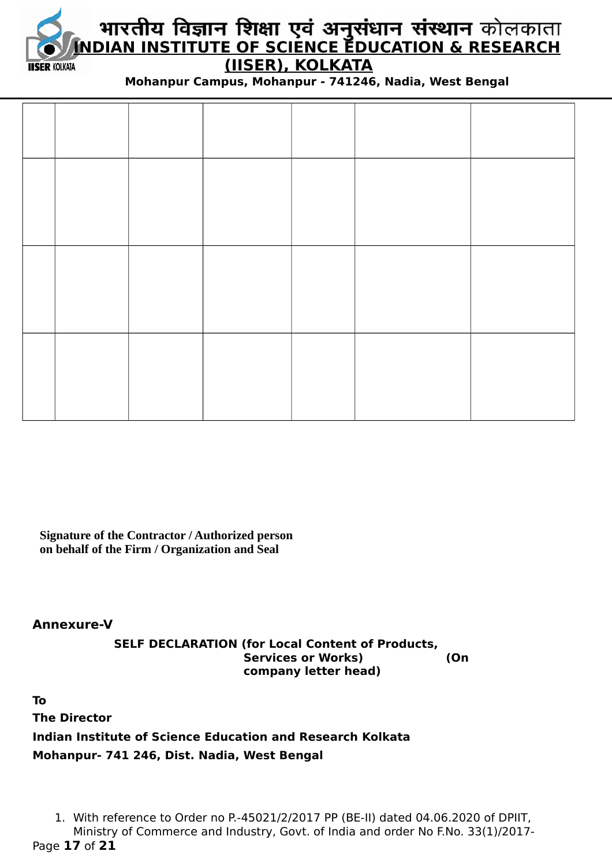

# **INDIAN INSTITUTE OF SCIENCE EDUCATION & RESEARCH (IISER), KOLKATA**

**Mohanpur Campus, Mohanpur - 741246, Nadia, West Bengal**

**Signature of the Contractor / Authorized person on behalf of the Firm / Organization and Seal**

**Annexure-V**

**SELF DECLARATION (for Local Content of Products, Services or Works) (On company letter head)**

**To The Director Indian Institute of Science Education and Research Kolkata Mohanpur- 741 246, Dist. Nadia, West Bengal**

1. With reference to Order no P.-45021/2/2017 PP (BE-II) dated 04.06.2020 of DPIIT, Ministry of Commerce and Industry, Govt. of India and order No F.No. 33(1)/2017- Page **17** of **21**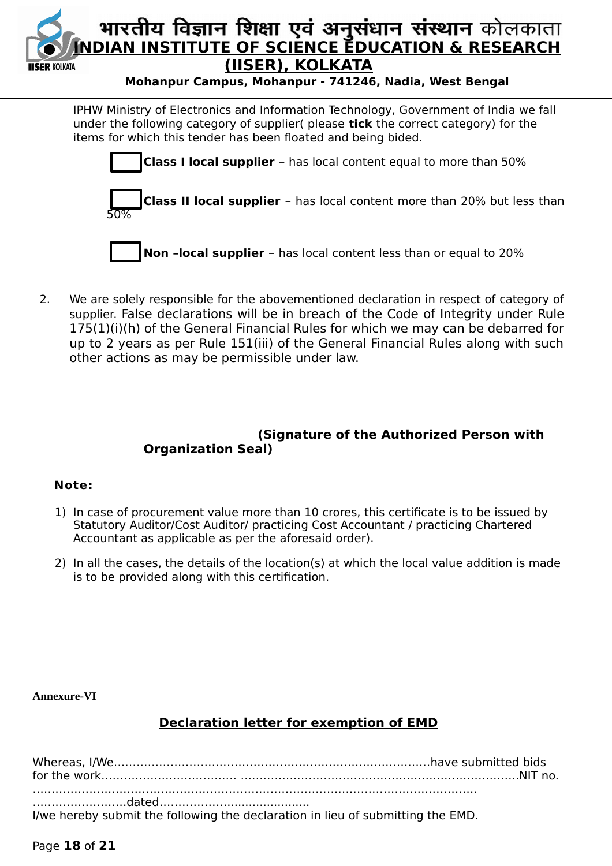

IPHW Ministry of Electronics and Information Technology, Government of India we fall under the following category of supplier( please **tick** the correct category) for the items for which this tender has been floated and being bided.



 2. We are solely responsible for the abovementioned declaration in respect of category of supplier. False declarations will be in breach of the Code of Integrity under Rule 175(1)(i)(h) of the General Financial Rules for which we may can be debarred for up to 2 years as per Rule 151(iii) of the General Financial Rules along with such other actions as may be permissible under law.

# **(Signature of the Authorized Person with Organization Seal)**

# **Note:**

- 1) In case of procurement value more than 10 crores, this certificate is to be issued by Statutory Auditor/Cost Auditor/ practicing Cost Accountant / practicing Chartered Accountant as applicable as per the aforesaid order).
- 2) In all the cases, the details of the location(s) at which the local value addition is made is to be provided along with this certification.

# **Annexure-VI**

# **Declaration letter for exemption of EMD**

| I/we hereby submit the following the declaration in lieu of submitting the EMD. |  |
|---------------------------------------------------------------------------------|--|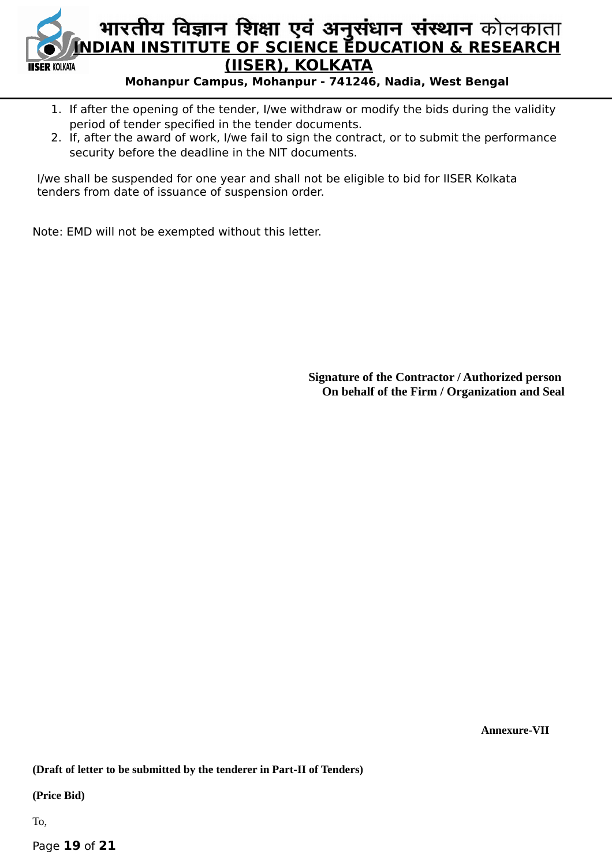

- 1. If after the opening of the tender, I/we withdraw or modify the bids during the validity period of tender specified in the tender documents.
- 2. If, after the award of work, I/we fail to sign the contract, or to submit the performance security before the deadline in the NIT documents.

I/we shall be suspended for one year and shall not be eligible to bid for IISER Kolkata tenders from date of issuance of suspension order.

Note: EMD will not be exempted without this letter.

**Signature of the Contractor / Authorized person On behalf of the Firm / Organization and Seal**

 **Annexure-VII**

**(Draft of letter to be submitted by the tenderer in Part-II of Tenders)**

**(Price Bid)**

To,

Page **19** of **21**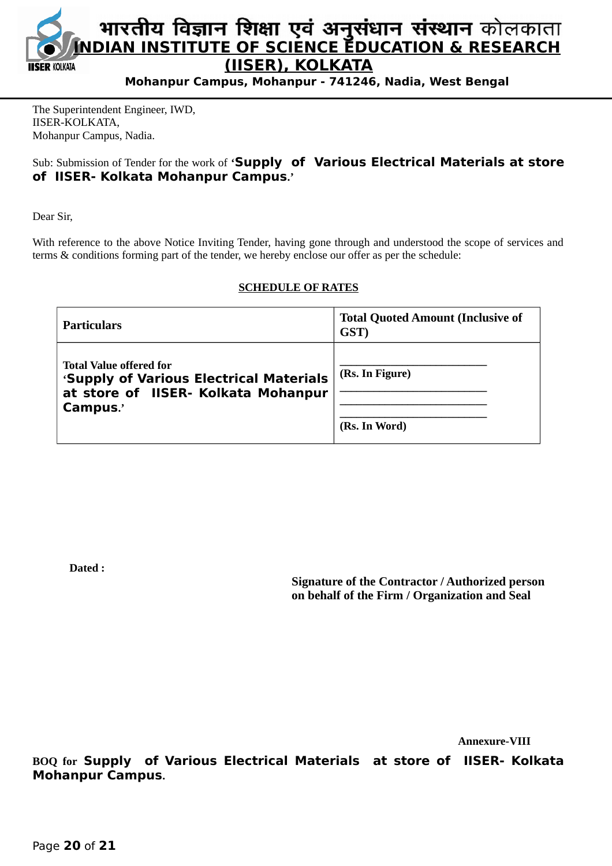

The Superintendent Engineer, IWD, IISER-KOLKATA, Mohanpur Campus, Nadia.

# Sub: Submission of Tender for the work of **'Supply of Various Electrical Materials at store of IISER- Kolkata Mohanpur Campus.'**

Dear Sir,

With reference to the above Notice Inviting Tender, having gone through and understood the scope of services and terms & conditions forming part of the tender, we hereby enclose our offer as per the schedule:

#### **SCHEDULE OF RATES**

| Particulars                                                                                                                  | <b>Total Quoted Amount (Inclusive of</b><br>GST) |
|------------------------------------------------------------------------------------------------------------------------------|--------------------------------------------------|
| <b>Total Value offered for</b><br>'Supply of Various Electrical Materials<br>at store of IISER- Kolkata Mohanpur<br>Campus.' | (Rs. In Figure)<br>(Rs. In Word)                 |

**Dated :** 

**Signature of the Contractor / Authorized person on behalf of the Firm / Organization and Seal**

 **Annexure-VIII**

**BOQ for Supply of Various Electrical Materials at store of IISER- Kolkata Mohanpur Campus.**